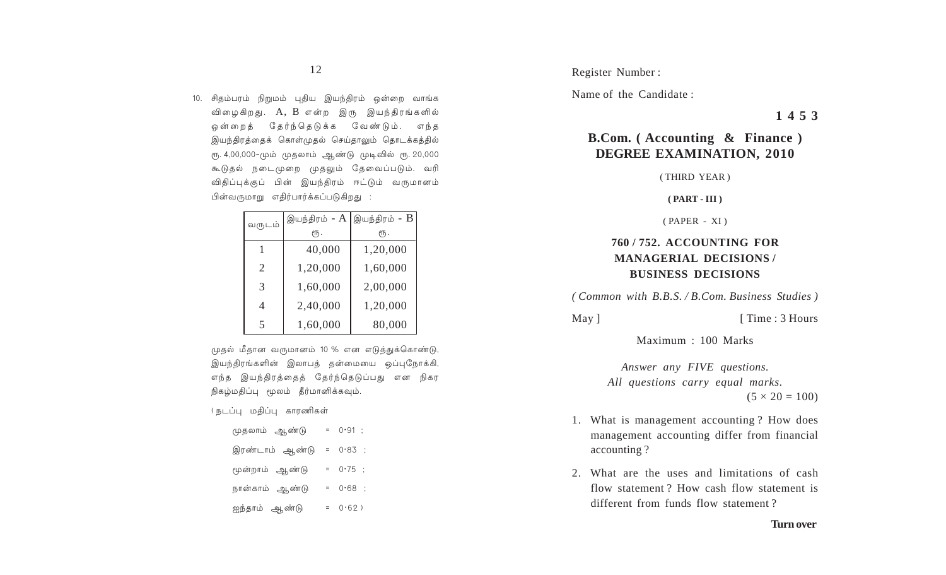10. சிதம்பரம் நிறுமம் புதிய இயந்திரம் ஒன்றை வாங்க விழைகிறது. A, B என்ற இரு இயந்திரங்களில் ஒன்றைக் கேர்ந்தெடுக்க வேண்டும். எந்த இயந்திரத்தைக் கொள்முதல் செய்தாலும் தொடக்கத்தில் ரு. 4,00,000-மும் முதலாம் ஆண்டு முடிவில் ரூ. 20,000 கூடுதல் நடைமுறை முதலும் தேவைப்படும். வரி விதிப்புக்குப் பின் இயந்திரம் ஈட்டும் வருமானம் பின்வருமாறு எகிர்பார்க்கப்படுகிறது :

| வருடம்                |          | இயந்திரம் - $\mathrm{A}\, \,\mathrm{g}$ யந்திரம் - $\mathrm{B}\, \,$ |
|-----------------------|----------|----------------------------------------------------------------------|
|                       | ιҧ.      | ιҧ.                                                                  |
|                       | 40,000   | 1,20,000                                                             |
| $\mathcal{D}_{\cdot}$ | 1,20,000 | 1,60,000                                                             |
| 3                     | 1,60,000 | 2,00,000                                                             |
| 4                     | 2,40,000 | 1,20,000                                                             |
| 5                     | 1,60,000 | 80,000                                                               |

முதல் மீதான வருமானம் 10 % என எடுத்துக்கொண்டு, இயந்திரங்களின் இலாபத் தன்மையை ஒப்புநோக்கி, எந்த இயந்திரத்தைத் தேர்ந்தெடுப்பது என நிகர நிகழ்மதிப்பு மூலம் தீர்மானிக்கவும்.

( நடப்பு மதிப்பு காரணிகள்

முதலாம் ஆண்டு  $= 0.91$  ; இரண்டாம் ஆண்டு = 0·83 ; மூன்றாம் ஆண்டு  $= 0.75$  ; நான்காம் ஆண்டு  $= 0.68$  ; ஐந்தாம் ஆண்டு  $= 0.62$ )

Register Number:

Name of the Candidate:

1453

# **B.Com.** (Accounting & Finance) **DEGREE EXAMINATION, 2010**

(THIRD YEAR)

#### $(PART - III)$

 $(PAPER - XI)$ 

## **760/752. ACCOUNTING FOR MANAGERIAL DECISIONS/ BUSINESS DECISIONS**

(Common with B.B.S. / B.Com. Business Studies)

May ]

[Time: 3 Hours]

Maximum : 100 Marks

Answer any FIVE questions. All questions carry equal marks.  $(5 \times 20 = 100)$ 

- 1. What is management accounting? How does management accounting differ from financial accounting?
- 2. What are the uses and limitations of cash flow statement? How cash flow statement is different from funds flow statement?

#### **Turn over**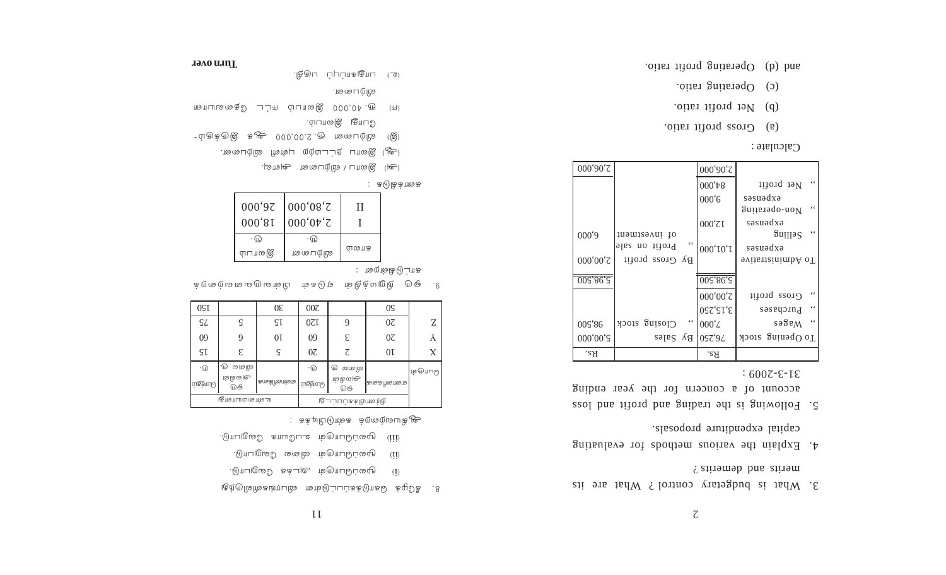- merits and demerits? 3. What is budgetary control ? What are its
- capital expenditure proposals. 4. Explain the various methods for evaluating
- $:600Z-E-E$ account of a concern for the year ending 5. Following is the trading and profit and loss

|          |                 |                         |                                                                                                                                                                                                                                                                    | . <sup>ລ</sup> ‡ເປທ[ເ^ <b>]</b>                      |
|----------|-----------------|-------------------------|--------------------------------------------------------------------------------------------------------------------------------------------------------------------------------------------------------------------------------------------------------------------|------------------------------------------------------|
| 2,00,000 |                 |                         | 000'90'7                                                                                                                                                                                                                                                           |                                                      |
|          |                 |                         | $000^{\circ}$ $\!\!$ $\!\!$ $\!\!$ $\!\!$ $\!\!$ $\!\!$ $\!\!$ $\!\!$ $\!\!$ $\!\!$ $\!\!$ $\!\!$ $\!\!$ $\!\!$ $\!\!$ $\!\!$ $\!\!$ $\!\!$ $\!\!$ $\!\!$ $\!\!$ $\!\!$ $\!\!$ $\!\!$ $\!\!$ $\!\!$ $\!\!$ $\!\!$ $\!\!$ $\!\!$ $\!\!$ $\!\!$ $\!\!$ $\!\!$ $\!\!$ | $\ddot{\phantom{0}}$<br>Net profit                   |
|          |                 |                         | 000'6                                                                                                                                                                                                                                                              | səsuədxə<br>$\lq$ $\lq$<br>Non-oberating             |
| 9,000    | juomisovni 10   |                         | $000^{\circ}$ ZI                                                                                                                                                                                                                                                   | exbeuses<br>$\lq$ 4<br>Selling                       |
|          | Profit on sale  | $\leftrightsquigarrow$  | $000^\circ10^\circ1$                                                                                                                                                                                                                                               | səsuədxə                                             |
| 2,00,000 | By Gross profit |                         |                                                                                                                                                                                                                                                                    | 9viistizinimbA oT                                    |
| 5,98,500 |                 |                         | 005'86'S                                                                                                                                                                                                                                                           |                                                      |
|          |                 |                         | $2,00,000$                                                                                                                                                                                                                                                         | $\leftrightsquigarrow$<br>Gross brotit               |
|          |                 |                         | 3,15,250                                                                                                                                                                                                                                                           | $\zeta$ $\zeta$<br>Purchases                         |
| 98,500   | Closing stock   | $\leqslant$ $\leqslant$ | $000^{\circ}$ L                                                                                                                                                                                                                                                    | $\leftrightsquigarrow$<br>$s$ ə $\delta$ e $\Lambda$ |
| 5,00,000 | By Sales        |                         | 0ST'9L                                                                                                                                                                                                                                                             | To Opening stock                                     |
| .e.s.    |                 |                         | .aA                                                                                                                                                                                                                                                                |                                                      |

 $\cdot$  מזרחומוב

oiter ifiory as and (a)

oith (d) Operating profit ratio.

(c) Operating ratio.

(b) Net profit ratio.

(அ) இலாப / விற்பனை அளவு.

| 000'97<br>000, 81 | 000'08'<br>$000'0$ <sup>+</sup> $z$ |     |
|-------------------|-------------------------------------|-----|
|                   |                                     |     |
| ாபால் இ           | மூற்படு                             | மைய |

ரையமலைத் பட்சு ம்பாலஇ 000,04 ரூ

இ) விற்பனை ரூ. 2,00,000 ஆக இருக்கும்-

்ஆ) இலாப நட்டமற்ற புள்ளி விற்பனை.

**Tavo** and

: கடுகெக்ஸைக

ை பாதுகாப்புப் பகுதி.

்பாகு இயபம்.

ு வையற் மு

: மலா்கெடுப்ாக

| ம் ஸ் ஸ் டை வ சூ ம் பி க் |                  | ம் க டு ஒ      |                 | ம் சே ் பழு நி     | ற ஃ<br>.6       |          |
|---------------------------|------------------|----------------|-----------------|--------------------|-----------------|----------|
| 0 <sub>S</sub> 1          |                  | $0\epsilon$    | 00 <sub>z</sub> |                    | 0S              |          |
| SL                        |                  | SI             | 0ZI             | 9                  | $0\overline{c}$ | Z        |
| 09                        | 9                | 0 <sup>I</sup> | 09              | E                  | $0\overline{c}$ | Y        |
| SI                        | £                | ς              | $0\overline{c}$ | 7                  | 0 <sup>I</sup>  | X        |
| $\cdot$ M                 | . ብን<br>மழை      |                | $\cdot$ M       | ∙⊕<br>மழை          |                 | மிபாடு வ |
| ப்சூன்பில்                | ம் சில தின்<br>ை | கண்ணெண்க       | ப்சூன்பில்      | அவு அவு<br>⊕       | கணைக்களைவ       |          |
|                           | துமையமானது       |                |                 | நிர்ணயிக்கப்பட்டது |                 |          |

ய்ம் மூலப்பொருள் உபயோக வேறுபாடு. முலப்பொருள் விலை வேறுபாடு.  $(\mathbf{II})$ 

ஆகியவற்றைக் கண்டுபிடிக்க :

ம் மூலப்பொருள் அடக்க வேறுபாடு.

புத்திடுரிக்கியாயில் நால்டுப்பப்கக்டுரக்டு க்ழூபீக் . 8

 $\prod$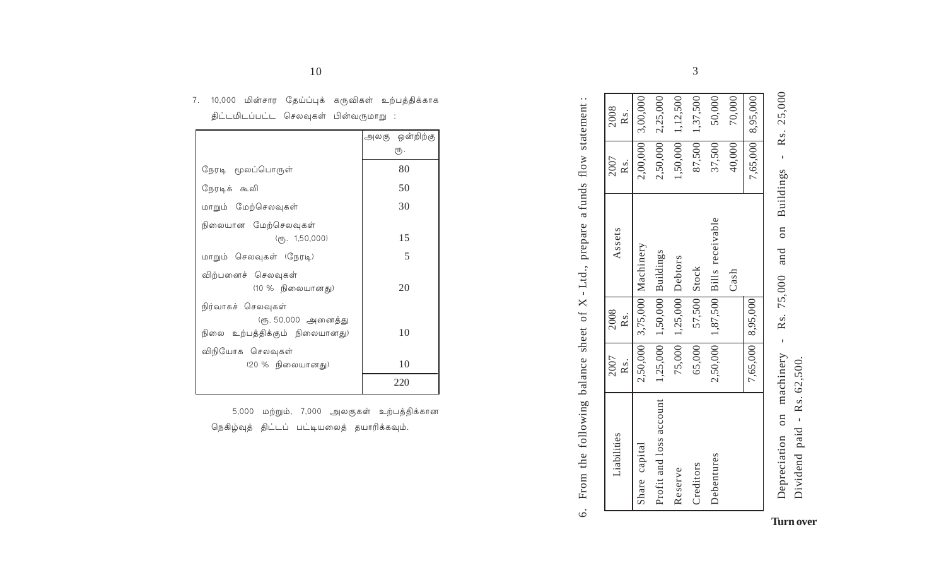| Liabilities             | 2007<br>Rs. | 2008<br>Rs.             | Assets                              | 2007<br>Rs. | 2008<br>Rs.           |
|-------------------------|-------------|-------------------------|-------------------------------------|-------------|-----------------------|
| Share capital           |             |                         | 2,50,000 3,75,000 Machinery         |             | $2,00,000$ 3,00,000   |
| Profit and loss account |             |                         | $1,25,000$   $1,50,000$   Buildings |             | $2,50,000$ $2,25,000$ |
| Reserve                 |             | 75,000 1,25,000 Debtors |                                     |             | $1,50,000$ 1,12,500   |
| Creditors               | 65,000      | 57,500 Stock            |                                     |             | 87,500 1,37,500       |
| Debentures              |             |                         | 2,50,000 1,87,500 Bills receivable  | 37,500      | 50,000                |
|                         |             |                         | $\operatorname{Cash}$               | 40,000      | 70,000                |
|                         |             | 7,65,000 8,95,000       |                                     |             | 7,65,000 8,95,000     |

| Rs. 25,000       |                           |
|------------------|---------------------------|
|                  |                           |
|                  |                           |
| and on Buildings |                           |
|                  |                           |
|                  |                           |
| Rs. 75,000       |                           |
|                  |                           |
| I                |                           |
| machinery        | $1$ paid - Rs. $62,500$ . |
| $\frac{1}{2}$    |                           |
|                  | vidend                    |

| $\frac{1}{2}$<br>ł                                                                                                                                                                                                                                                                                                                                                                                                                                                                                                                                                                   |
|--------------------------------------------------------------------------------------------------------------------------------------------------------------------------------------------------------------------------------------------------------------------------------------------------------------------------------------------------------------------------------------------------------------------------------------------------------------------------------------------------------------------------------------------------------------------------------------|
|                                                                                                                                                                                                                                                                                                                                                                                                                                                                                                                                                                                      |
| nnonomo o tundo                                                                                                                                                                                                                                                                                                                                                                                                                                                                                                                                                                      |
| Jid<br>Ì<br>I                                                                                                                                                                                                                                                                                                                                                                                                                                                                                                                                                                        |
| I                                                                                                                                                                                                                                                                                                                                                                                                                                                                                                                                                                                    |
|                                                                                                                                                                                                                                                                                                                                                                                                                                                                                                                                                                                      |
| $\frac{1}{2}$<br>Ĩ.<br>$\frac{1}{2}$<br>֧֧֧֧֧֧֧֧֢ׅ֛֧֧֧֚֚֚֚֚֚֚֚֚֚֚֚֚֚֚֚֚֚֚֚֚֚֚֚֚֚֚֚֚֚֚֚֚֚֘֝                                                                                                                                                                                                                                                                                                                                                                                                                                                                                           |
|                                                                                                                                                                                                                                                                                                                                                                                                                                                                                                                                                                                      |
|                                                                                                                                                                                                                                                                                                                                                                                                                                                                                                                                                                                      |
| ١<br>$\begin{minipage}{0.5\textwidth} \centering \begin{minipage}{0.5\textwidth} \centering \centering \end{minipage} \begin{minipage}{0.5\textwidth} \centering \centering \end{minipage} \begin{minipage}{0.5\textwidth} \centering \centering \end{minipage} \begin{minipage}{0.5\textwidth} \centering \centering \end{minipage} \begin{minipage}{0.5\textwidth} \centering \centering \end{minipage} \begin{minipage}{0.5\textwidth} \centering \centering \end{minipage} \begin{minipage}{0.5\textwidth} \centering \centering \end{minipage} \begin{minipage}{0.5\textwidth}$ |
|                                                                                                                                                                                                                                                                                                                                                                                                                                                                                                                                                                                      |
|                                                                                                                                                                                                                                                                                                                                                                                                                                                                                                                                                                                      |
| $5.775$ and $7.777$<br>Leon that<br>ļ                                                                                                                                                                                                                                                                                                                                                                                                                                                                                                                                                |
| )<br>Ć                                                                                                                                                                                                                                                                                                                                                                                                                                                                                                                                                                               |

| திட்டமிடப்பட்ட செலவுகள் பின்வருமாறு :                                       |                       |
|-----------------------------------------------------------------------------|-----------------------|
|                                                                             | அலகு ஒன்றிற்கு<br>ரூ. |
| நேரடி மூலப்பொருள்                                                           | 80                    |
| நேரடிக் கூலி                                                                | 50                    |
| மாறும் மேற்செலவுகள்                                                         | 30                    |
| நிலையான மேற்செலவுக <mark>ள்</mark><br>$(q\bar{r}_5. 1, 50, 000)$            | 15                    |
| மாறும் செலவுகள் (நேரடி)                                                     | 5                     |
| விற்பனைச் செலவுகள்<br>(10 % நிலையானது)                                      | 20                    |
| நிர்வாகச் செலவுகள்<br>(ரூ. 50,000 அனைத்து<br>நிலை உற்பத்திக்கும் நிலையானது) | 10                    |
| விநியோக செலவுகள்<br>(20 % நிலையானது)                                        | 10                    |
|                                                                             | 220                   |

5,000 மற்றும், 7,000 அலகுகள் உற்பத்திக்கான நெகிழ்வுத் திட்டப் பட்டியலைத் தயாரிக்கவும்.

10

7. 10,000 மின்சார தேய்ப்புக் கருவிகள் உற்பத்திக்காக

3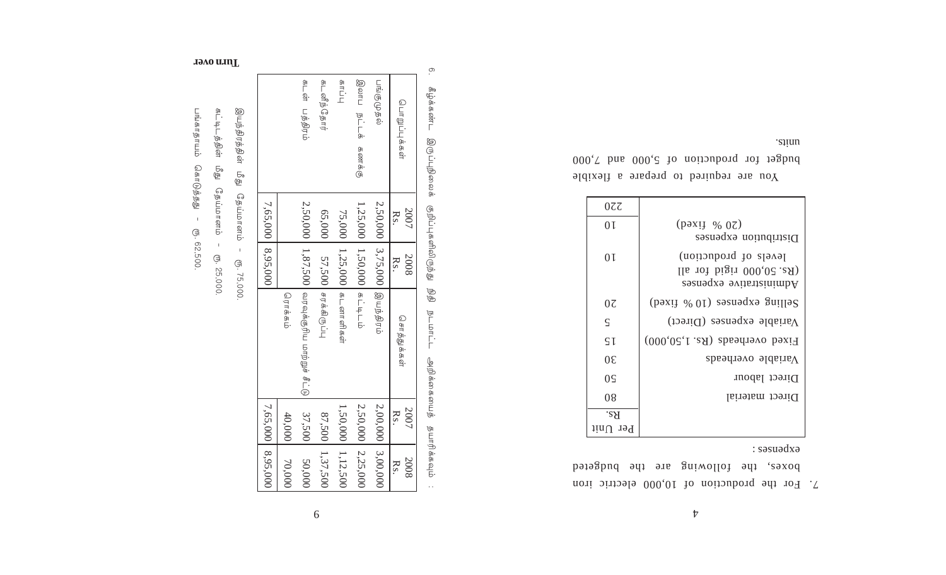$\ensuremath{\mathcal{V}}$ 

: səsuədxə boxes, the following are the budgeted 7. For the production of 10,000 electric iron

| 077           |                                                                               |
|---------------|-------------------------------------------------------------------------------|
| 0 I           | $(\text{pay} \ \ \% \ 07)$<br>Distribution expenses                           |
| 0 I           | levels of production)<br>lla rot bigir 000,07 .aA)<br>Administrative expenses |
| 07            | Selling expenses (10 % fixed)                                                 |
| $\varsigma$   | Variable expenses (Direct)                                                    |
| $\mathsf{S}1$ | Fixed overheads (Rs. 1,50,000)                                                |
| $0\epsilon$   | Variable overheads                                                            |
| 0S            | Direct labour                                                                 |
| 08            | Direct material                                                               |
| 'S`H          |                                                                               |
| $1$ inU $1$   |                                                                               |
|               |                                                                               |

siinu budget for production of 5,000 and 7,000 You are required to prepare a flexible

பாவி **BILLIL** கடனீந்தோர் பங்குமுதல் ।<br>ज ந்தக்பப்டு ப்த்திரம்  $\frac{d}{d}$ ்டி கணக்கு நேப்பானம் 7,65,000 2,50,000 1,25,000 2,50,000  $\frac{2007}{\text{Rs.}}$ 65,000 75,000 8,95,000 3,75,000  $1,87,500$  $1,50,000$ 1,25,000 57,500  $\frac{2008}{\text{Rs}}$  $CD - 75,000$ . ம்ரத்திரம்  $\frac{1}{\sqrt{2}}$ வரவுக்குரிய மாற்றுச் சீட்டு சரக்கிருப்பு கடனாளிகள் ரொக்கம் சொத்துக்கள் 7,65,000 2,00,000 1,50,000 2,50,000  $\frac{2007}{\text{Rs.}}$ 37,500 87,500 40,000 8,95,000 3,00,000 1,37,500 1,12,500 2,25,000 50,000 70,000  $\frac{2008}{\text{Rs.}}$ 

6

 $\rm \odot$ 

கீழ்க்கண்ட

திருப்புநிலைக்

தற்ப்புகளிலிருந்து

தி

**BLDFLL** 

அறிக்கையைத் தயாரிக்கவும்

இயந்திரத்தின் டு<br>இ

கட்டிடத்தின் தி ந்ப்பானம்  $\bar{1}$ 

பங்காதாயம் சொடுத்தது  $\pm$ CD. 62,500.

**Javo mull**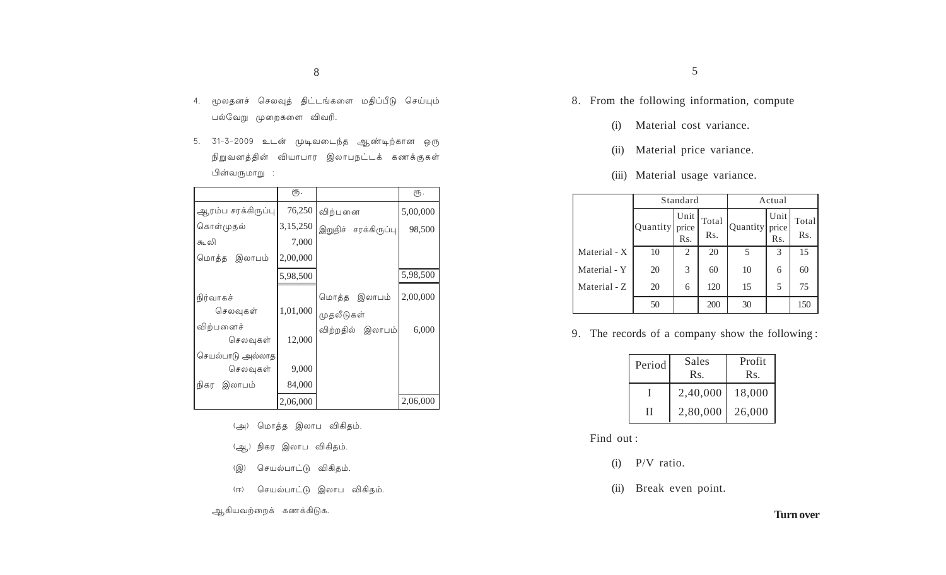- 4. மூலதனச் செலவுத் திட்டங்களை மதிப்பீடு செய்யும் பல்வேறு முறைகளை விவரி.
- 5. 31-3-2009 உடன் முடிவடைந்த ஆண்டிற்கான ஒரு நிறுவனத்தின் வியாபார இலாபநட்டக் கணக்குகள் பின்வருமாறு :

|                    | ரூ.      |                      | ரூ.      |
|--------------------|----------|----------------------|----------|
| ஆரம்ப சரக்கிருப்பு | 76,250   | விற்பனை              | 5,00,000 |
| கொள்முதல்          | 3,15,250 | இறுதிச் சரக்கிருப்பு | 98,500   |
| கூ லி              | 7,000    |                      |          |
| மொத்த இலாபம்       | 2,00,000 |                      |          |
|                    | 5,98,500 |                      | 5,98,500 |
| நிர்வாகச்          |          | மொத்த இலாபம்         | 2,00,000 |
| செலவுகள்           | 1,01,000 | முதலீடுகள்           |          |
| விற்பனைச்          |          | விற்றதில் இலாபம்     | 6,000    |
| செலவுகள்           | 12,000   |                      |          |
| செயல்பாடு அல்லாத   |          |                      |          |
| செலவுகள்           | 9,000    |                      |          |
| இலாபம்<br>நிகர     | 84,000   |                      |          |
|                    | 2,06,000 |                      | 2,06,000 |

- (அ) மொத்த இலாப விகிதம்.
- (ஆ) நிகர இலாப விகிதம்.
- (இ) செயல்பாட்டு விகிதம்.
- (ஈ) செயல்பாட்டு இலாப விகிதம்.
- ஆகியவற்றைக் கணக்கிடுக.
- 8. From the following information, compute
	- (i) Material cost variance.
	- (ii) Material price variance.
	- (iii) Material usage variance.

|              |          | Standard             |              | Actual   |                      |              |
|--------------|----------|----------------------|--------------|----------|----------------------|--------------|
|              | Quantity | Unit<br>price<br>Rs. | Total<br>Rs. | Quantity | Unit<br>price<br>Rs. | Total<br>Rs. |
| Material - X | 10       | 2                    | 20           | 5        | 3                    | 15           |
| Material - Y | 20       | 3                    | 60           | 10       | 6                    | 60           |
| Material - Z | 20       | 6                    | 120          | 15       | 5                    | 75           |
|              | 50       |                      | 200          | 30       |                      | 150          |

9. The records of a company show the following :

| Period | Sales<br>$\operatorname{Rs.}$ | Profit<br>Rs. |
|--------|-------------------------------|---------------|
|        | 2,40,000                      | 18,000        |
| Н      | 2,80,000                      | 26,000        |

- Find out :
	- (i) P/V ratio.
	- (ii) Break even point.

### **Turn over**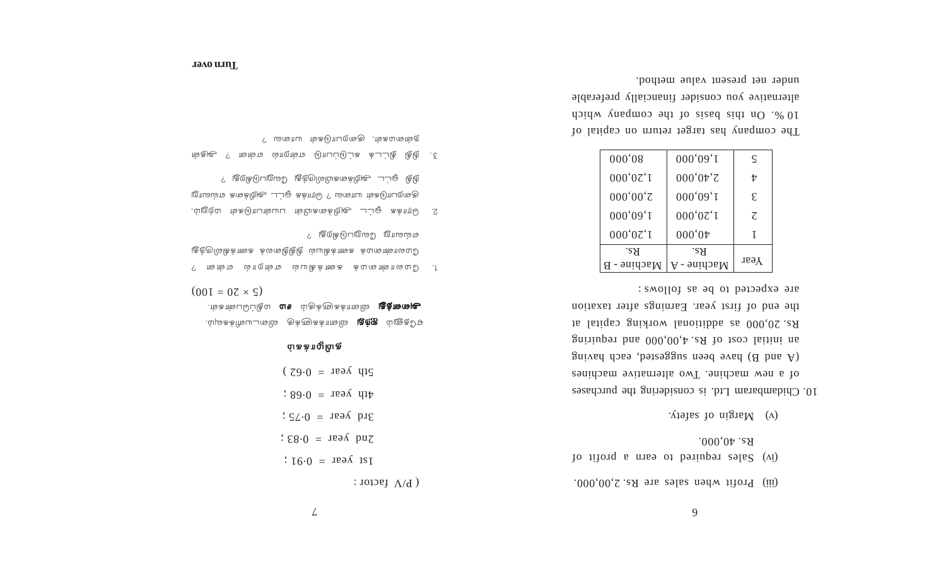6

 $P_{\text{F}}(m)$  Profit when sales are Rs. 2,00,000.

- Sales required to earn a profit of (iv)  $R_s$ . 40,000.
- (v) Margin of safety.

10. Chidambaram Ltd. is considering the purchases of a new machine. Two alternative machines  $\delta$ uived use been suggested, each having an initial cost of Rs.  $4,00,000$  and requiring Rs. 20,000 as additional working capital at the end of first year. Earnings after taxation are expected to be as follows :

| 000,08      | 000'09'1      | C    |
|-------------|---------------|------|
| 000'07'1    | $000'0 \nu^2$ | tz   |
| 000,00,00   | 000'09'1      | £.   |
| 000'09'1    | 000'07'1      | 7.   |
| 000'07'I    | 000,01        |      |
| .sЯ         | .sЯ           |      |
| Масһіле - В | $M$ achine -  | Year |

The company has target return on capital of 10 %. On this basis of the company which alternative you consider financially preferable under net present value method.

: rotaf  $V$   $\mathbf{P}$  $181 \div 16.0 = 189$  is 1  $2\pi$  is equal to  $2\pi$  $\div$  2 $\div$  3 $\div$  3 $\div$  $\therefore$  89.0 =  $\text{new}$  dip  $(29.0)$  =  $\pi$ s  $\frac{10}{2}$ 

### ்பகக்πழும் கு

L

் மிக்க்ரிவடமில் குக்ளுக்கானில் **டிந்த** வ்ளுக்கி ் **முனத்து** அவாக்களுக்கும் **சம** மதிப்பெண்களு.  $(00I = 0Z \times S)$ 

- ? என். பெல் ம்பெரிக்காகை க்புகையை பெலி . 1 ் கேள்ளைக் கணக்கியல் நிதிறைக் கணக்கிலிருந்து எவ்வாறு வேறுபடுகிறது ?
- 2. மெற்க்க ஓட்ட அறிக்கையின் பயன்பாடுகள் மற்றும், குறைபாடுகள் யாலை ? ரொக்க ஓட்ட அறிக்கை எவ்வாறு ந்தி &ட்ட அறிக்கையிலிருந்து வேறுபடுகிறது ?
- ி்க் தெட்டக் கட்டுப்பாடு என்றால் என்ன ? அதன் நன்மைகள், குறைபாடுகள் யாவை ?